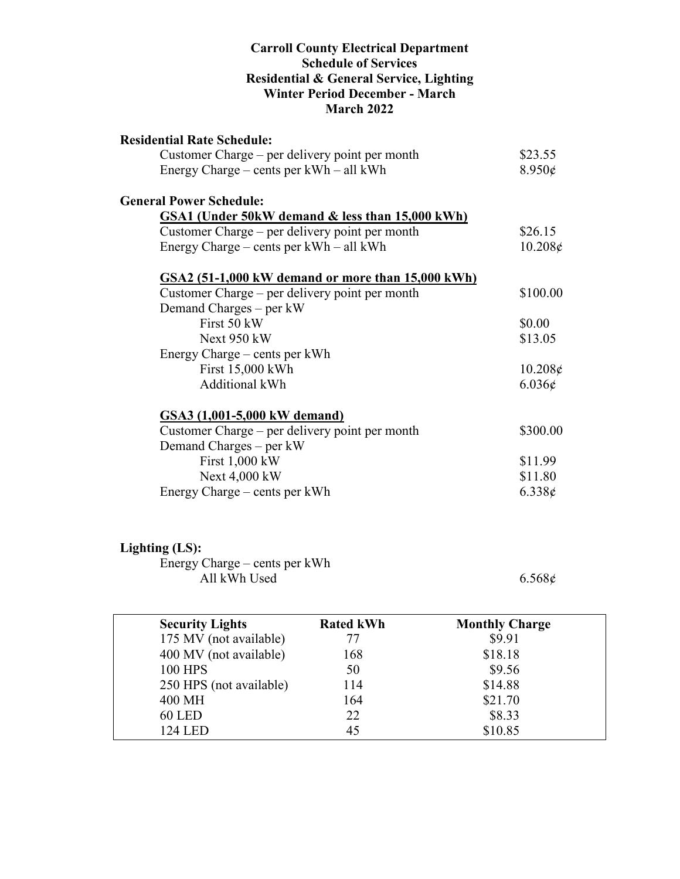#### **Carroll County Electrical Department Schedule of Services Residential & General Service, Lighting Winter Period December - March March 2022**

| <b>Residential Rate Schedule:</b>                 |                  |
|---------------------------------------------------|------------------|
| Customer Charge – per delivery point per month    | \$23.55          |
| Energy Charge – cents per kWh – all kWh           | $8.950\epsilon$  |
| <b>General Power Schedule:</b>                    |                  |
| GSA1 (Under 50kW demand & less than 15,000 kWh)   |                  |
| Customer Charge – per delivery point per month    | \$26.15          |
| Energy Charge – cents per kWh – all kWh           | $10.208\epsilon$ |
| GSA2 (51-1,000 kW demand or more than 15,000 kWh) |                  |
| Customer Charge – per delivery point per month    | \$100.00         |
| Demand Charges – per kW                           |                  |
| First 50 kW                                       | \$0.00           |
| Next 950 kW                                       | \$13.05          |
| Energy Charge – cents per kWh                     |                  |
| First 15,000 kWh                                  | $10.208\epsilon$ |
| Additional kWh                                    | $6.036\epsilon$  |
| GSA3 (1,001-5,000 kW demand)                      |                  |
| Customer Charge – per delivery point per month    | \$300.00         |
| Demand Charges – per kW                           |                  |
| First $1,000$ kW                                  | \$11.99          |
| Next 4,000 kW                                     | \$11.80          |
| Energy Charge – cents per kWh                     | 6.338c           |

## **Lighting (LS):**

Energy Charge – cents per kWh All kWh Used  $6.568\phi$ 

| <b>Security Lights</b>  | <b>Rated kWh</b> | <b>Monthly Charge</b> |  |
|-------------------------|------------------|-----------------------|--|
| 175 MV (not available)  | 77               | \$9.91                |  |
| 400 MV (not available)  | 168              | \$18.18               |  |
| <b>100 HPS</b>          | 50               | \$9.56                |  |
| 250 HPS (not available) | 114              | \$14.88               |  |
| 400 MH                  | 164              | \$21.70               |  |
| <b>60 LED</b>           | 22               | \$8.33                |  |
| 124 LED                 | 45               | \$10.85               |  |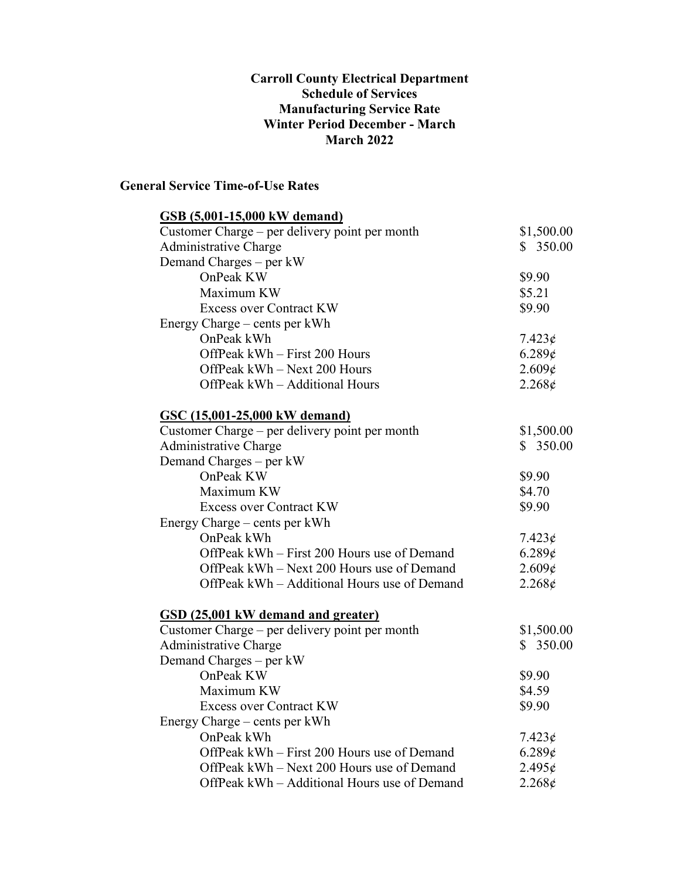#### **Carroll County Electrical Department Schedule of Services Manufacturing Service Rate Winter Period December - March March 2022**

### **General Service Time-of-Use Rates**

| <b>GSB</b> (5,001-15,000 kW demand)            |                 |
|------------------------------------------------|-----------------|
| Customer Charge – per delivery point per month | \$1,500.00      |
| <b>Administrative Charge</b>                   | \$350.00        |
| Demand Charges – per kW                        |                 |
| OnPeak KW                                      | \$9.90          |
| Maximum KW                                     | \$5.21          |
| <b>Excess over Contract KW</b>                 | \$9.90          |
| Energy Charge – cents per kWh                  |                 |
| OnPeak kWh                                     | $7.423\phi$     |
| OffPeak kWh - First 200 Hours                  | 6.289¢          |
| OffPeak kWh - Next 200 Hours                   | 2.609¢          |
| OffPeak kWh - Additional Hours                 | $2.268\epsilon$ |
| GSC (15,001-25,000 kW demand)                  |                 |
| Customer Charge - per delivery point per month | \$1,500.00      |
| Administrative Charge                          | \$350.00        |
| Demand Charges – per kW                        |                 |
| OnPeak KW                                      | \$9.90          |
| Maximum KW                                     | \$4.70          |
| <b>Excess over Contract KW</b>                 | \$9.90          |
| Energy Charge – cents per kWh                  |                 |
| OnPeak kWh                                     | $7.423\phi$     |
| OffPeak kWh – First 200 Hours use of Demand    | 6.289¢          |
| OffPeak kWh – Next 200 Hours use of Demand     | 2.609¢          |
| OffPeak kWh - Additional Hours use of Demand   | 2.268¢          |
| GSD (25,001 kW demand and greater)             |                 |
| Customer Charge – per delivery point per month | \$1,500.00      |
| <b>Administrative Charge</b>                   | \$350.00        |
| Demand Charges - per kW                        |                 |
| OnPeak KW                                      | \$9.90          |
| Maximum KW                                     | \$4.59          |
| <b>Excess over Contract KW</b>                 | \$9.90          |
| Energy Charge – cents per kWh                  |                 |
| OnPeak kWh                                     | $7.423\phi$     |
| OffPeak kWh – First 200 Hours use of Demand    | 6.289¢          |
| OffPeak kWh - Next 200 Hours use of Demand     | 2.495¢          |
| OffPeak kWh - Additional Hours use of Demand   | $2.268\epsilon$ |